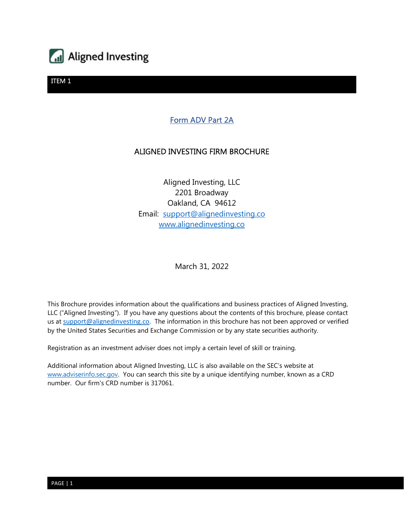

## Form ADV Part 2A

#### ALIGNED INVESTING FIRM BROCHURE

Aligned Investing, LLC 2201 Broadway Oakland, CA 94612 Email: support@alignedinvesting.co www.alignedinvesting.co

March 31, 2022

This Brochure provides information about the qualifications and business practices of Aligned Investing, LLC ("Aligned Investing"). If you have any questions about the contents of this brochure, please contact us at support@alignedinvesting.co. The information in this brochure has not been approved or verified by the United States Securities and Exchange Commission or by any state securities authority.

Registration as an investment adviser does not imply a certain level of skill or training.

Additional information about Aligned Investing, LLC is also available on the SEC's website at www.adviserinfo.sec.gov. You can search this site by a unique identifying number, known as a CRD number. Our firm's CRD number is 317061.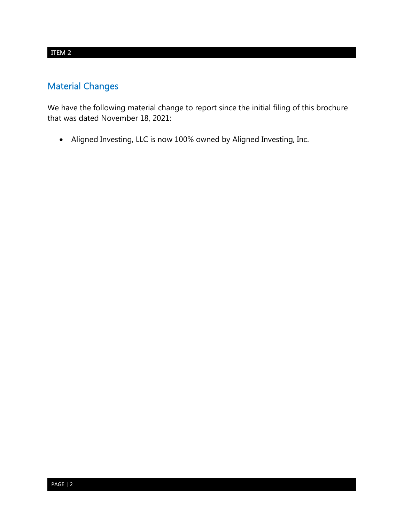# Material Changes

We have the following material change to report since the initial filing of this brochure that was dated November 18, 2021:

Aligned Investing, LLC is now 100% owned by Aligned Investing, Inc.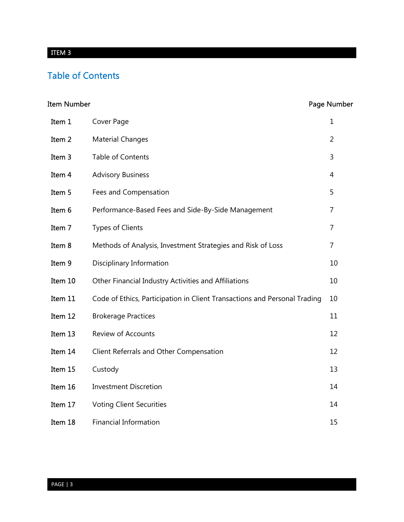# Table of Contents

# Item Number **Number** Page Number

| Item 1  | Cover Page                                                                | $\mathbf 1$ |
|---------|---------------------------------------------------------------------------|-------------|
| Item 2  | <b>Material Changes</b>                                                   | 2           |
| Item 3  | Table of Contents                                                         | 3           |
| Item 4  | <b>Advisory Business</b>                                                  | 4           |
| Item 5  | Fees and Compensation                                                     | 5           |
| Item 6  | Performance-Based Fees and Side-By-Side Management                        | 7           |
| Item 7  | <b>Types of Clients</b>                                                   | 7           |
| Item 8  | Methods of Analysis, Investment Strategies and Risk of Loss               | 7           |
| Item 9  | Disciplinary Information                                                  | 10          |
| Item 10 | Other Financial Industry Activities and Affiliations                      | 10          |
| Item 11 | Code of Ethics, Participation in Client Transactions and Personal Trading | 10          |
| Item 12 | <b>Brokerage Practices</b>                                                | 11          |
| Item 13 | <b>Review of Accounts</b>                                                 | 12          |
| Item 14 | Client Referrals and Other Compensation                                   | 12          |
| Item 15 | Custody                                                                   | 13          |
| Item 16 | <b>Investment Discretion</b>                                              | 14          |
| Item 17 | <b>Voting Client Securities</b>                                           | 14          |
| Item 18 | <b>Financial Information</b>                                              | 15          |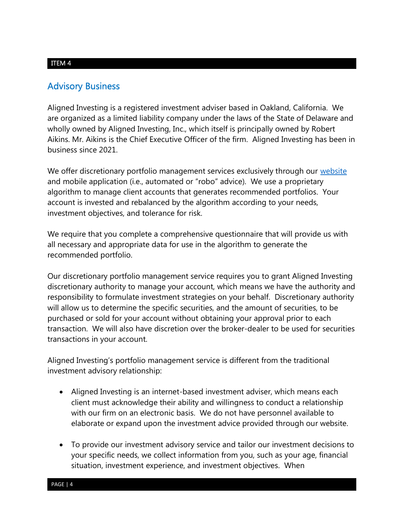## Advisory Business

Aligned Investing is a registered investment adviser based in Oakland, California. We are organized as a limited liability company under the laws of the State of Delaware and wholly owned by Aligned Investing, Inc., which itself is principally owned by Robert Aikins. Mr. Aikins is the Chief Executive Officer of the firm. Aligned Investing has been in business since 2021.

We offer discretionary portfolio management services exclusively through our website and mobile application (i.e., automated or "robo" advice). We use a proprietary algorithm to manage client accounts that generates recommended portfolios. Your account is invested and rebalanced by the algorithm according to your needs, investment objectives, and tolerance for risk.

We require that you complete a comprehensive questionnaire that will provide us with all necessary and appropriate data for use in the algorithm to generate the recommended portfolio.

Our discretionary portfolio management service requires you to grant Aligned Investing discretionary authority to manage your account, which means we have the authority and responsibility to formulate investment strategies on your behalf. Discretionary authority will allow us to determine the specific securities, and the amount of securities, to be purchased or sold for your account without obtaining your approval prior to each transaction. We will also have discretion over the broker-dealer to be used for securities transactions in your account.

Aligned Investing's portfolio management service is different from the traditional investment advisory relationship:

- Aligned Investing is an internet-based investment adviser, which means each client must acknowledge their ability and willingness to conduct a relationship with our firm on an electronic basis. We do not have personnel available to elaborate or expand upon the investment advice provided through our website.
- To provide our investment advisory service and tailor our investment decisions to your specific needs, we collect information from you, such as your age, financial situation, investment experience, and investment objectives. When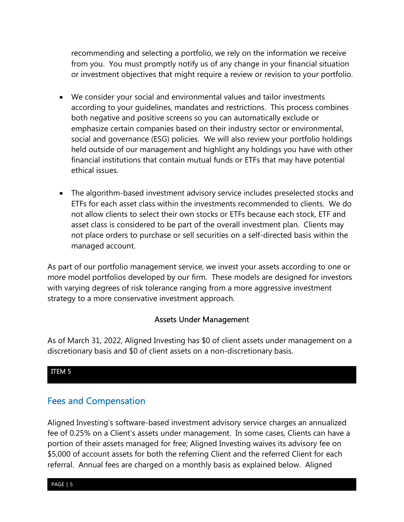recommending and selecting a portfolio, we rely on the information we receive from you. You must promptly notify us of any change in your financial situation or investment objectives that might require a review or revision to your portfolio.

- We consider your social and environmental values and tailor investments according to your guidelines, mandates and restrictions. This process combines both negative and positive screens so you can automatically exclude or emphasize certain companies based on their industry sector or environmental, social and governance (ESG) policies. We will also review your portfolio holdings held outside of our management and highlight any holdings you have with other financial institutions that contain mutual funds or ETFs that may have potential ethical issues.
- The algorithm-based investment advisory service includes preselected stocks and ETFs for each asset class within the investments recommended to clients. We do not allow clients to select their own stocks or ETFs because each stock, ETF and asset class is considered to be part of the overall investment plan. Clients may not place orders to purchase or sell securities on a self-directed basis within the managed account.

As part of our portfolio management service, we invest your assets according to one or more model portfolios developed by our firm. These models are designed for investors with varying degrees of risk tolerance ranging from a more aggressive investment strategy to a more conservative investment approach.

#### Assets Under Management

As of March 31, 2022, Aligned Investing has \$0 of client assets under management on a discretionary basis and \$0 of client assets on a non-discretionary basis.

#### ITEM 5

## Fees and Compensation

Aligned Investing's software-based investment advisory service charges an annualized fee of 0.25% on a Client's assets under management. In some cases, Clients can have a portion of their assets managed for free; Aligned Investing waives its advisory fee on \$5,000 of account assets for both the referring Client and the referred Client for each referral. Annual fees are charged on a monthly basis as explained below. Aligned

PAGE | 5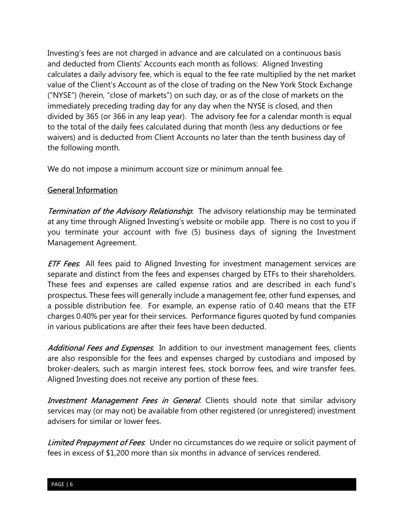Investing's fees are not charged in advance and are calculated on a continuous basis and deducted from Clients' Accounts each month as follows: Aligned Investing calculates a daily advisory fee, which is equal to the fee rate multiplied by the net market value of the Client's Account as of the close of trading on the New York Stock Exchange ("NYSE") (herein, "close of markets") on such day, or as of the close of markets on the immediately preceding trading day for any day when the NYSE is closed, and then divided by 365 (or 366 in any leap year). The advisory fee for a calendar month is equal to the total of the daily fees calculated during that month (less any deductions or fee waivers) and is deducted from Client Accounts no later than the tenth business day of the following month.

We do not impose a minimum account size or minimum annual fee.

## General Information

**Termination of the Advisory Relationship**: The advisory relationship may be terminated at any time through Aligned Investing's website or mobile app. There is no cost to you if you terminate your account with five (5) business days of signing the Investment Management Agreement.

**ETF Fees**: All fees paid to Aligned Investing for investment management services are separate and distinct from the fees and expenses charged by ETFs to their shareholders. These fees and expenses are called expense ratios and are described in each fund's prospectus. These fees will generally include a management fee, other fund expenses, and a possible distribution fee. For example, an expense ratio of 0.40 means that the ETF charges 0.40% per year for their services. Performance figures quoted by fund companies in various publications are after their fees have been deducted.

Additional Fees and Expenses. In addition to our investment management fees, clients are also responsible for the fees and expenses charged by custodians and imposed by broker-dealers, such as margin interest fees, stock borrow fees, and wire transfer fees. Aligned Investing does not receive any portion of these fees.

**Investment Management Fees in General**. Clients should note that similar advisory services may (or may not) be available from other registered (or unregistered) investment advisers for similar or lower fees.

Limited Prepayment of Fees. Under no circumstances do we require or solicit payment of fees in excess of \$1,200 more than six months in advance of services rendered.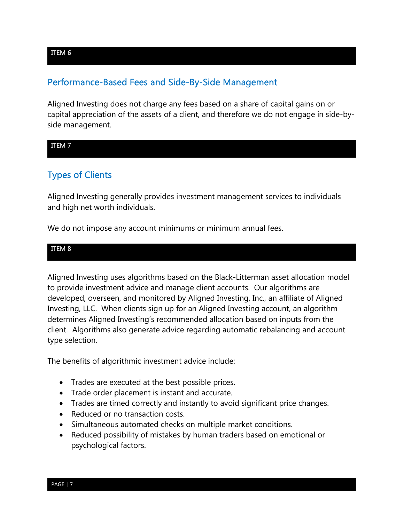## Performance-Based Fees and Side-By-Side Management

Aligned Investing does not charge any fees based on a share of capital gains on or capital appreciation of the assets of a client, and therefore we do not engage in side-byside management.

#### ITEM 7

# Types of Clients

Aligned Investing generally provides investment management services to individuals and high net worth individuals.

We do not impose any account minimums or minimum annual fees.

#### ITEM 8

Aligned Investing uses algorithms based on the Black-Litterman asset allocation model to provide investment advice and manage client accounts. Our algorithms are developed, overseen, and monitored by Aligned Investing, Inc., an affiliate of Aligned Investing, LLC. When clients sign up for an Aligned Investing account, an algorithm determines Aligned Investing's recommended allocation based on inputs from the client. Algorithms also generate advice regarding automatic rebalancing and account type selection.

The benefits of algorithmic investment advice include:

- Trades are executed at the best possible prices.
- Trade order placement is instant and accurate.
- Trades are timed correctly and instantly to avoid significant price changes.
- Reduced or no transaction costs.
- Simultaneous automated checks on multiple market conditions.
- Reduced possibility of mistakes by human traders based on emotional or psychological factors.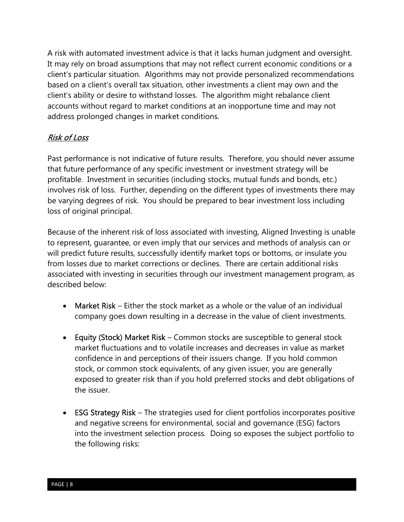A risk with automated investment advice is that it lacks human judgment and oversight. It may rely on broad assumptions that may not reflect current economic conditions or a client's particular situation. Algorithms may not provide personalized recommendations based on a client's overall tax situation, other investments a client may own and the client's ability or desire to withstand losses. The algorithm might rebalance client accounts without regard to market conditions at an inopportune time and may not address prolonged changes in market conditions.

## Risk of Loss

Past performance is not indicative of future results. Therefore, you should never assume that future performance of any specific investment or investment strategy will be profitable. Investment in securities (including stocks, mutual funds and bonds, etc.) involves risk of loss. Further, depending on the different types of investments there may be varying degrees of risk. You should be prepared to bear investment loss including loss of original principal.

Because of the inherent risk of loss associated with investing, Aligned Investing is unable to represent, guarantee, or even imply that our services and methods of analysis can or will predict future results, successfully identify market tops or bottoms, or insulate you from losses due to market corrections or declines. There are certain additional risks associated with investing in securities through our investment management program, as described below:

- Market Risk Either the stock market as a whole or the value of an individual company goes down resulting in a decrease in the value of client investments.
- Equity (Stock) Market Risk Common stocks are susceptible to general stock market fluctuations and to volatile increases and decreases in value as market confidence in and perceptions of their issuers change. If you hold common stock, or common stock equivalents, of any given issuer, you are generally exposed to greater risk than if you hold preferred stocks and debt obligations of the issuer.
- ESG Strategy Risk The strategies used for client portfolios incorporates positive and negative screens for environmental, social and governance (ESG) factors into the investment selection process. Doing so exposes the subject portfolio to the following risks: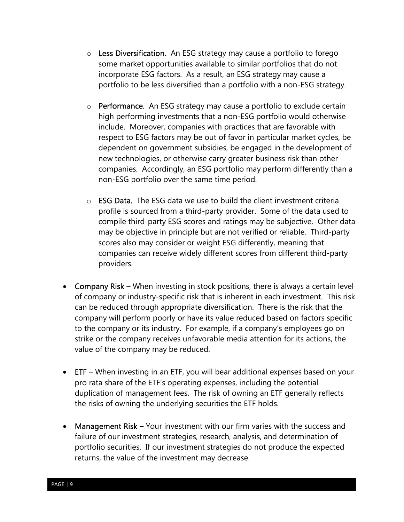- $\circ$  Less Diversification. An ESG strategy may cause a portfolio to forego some market opportunities available to similar portfolios that do not incorporate ESG factors. As a result, an ESG strategy may cause a portfolio to be less diversified than a portfolio with a non-ESG strategy.
- $\circ$  **Performance.** An ESG strategy may cause a portfolio to exclude certain high performing investments that a non-ESG portfolio would otherwise include. Moreover, companies with practices that are favorable with respect to ESG factors may be out of favor in particular market cycles, be dependent on government subsidies, be engaged in the development of new technologies, or otherwise carry greater business risk than other companies. Accordingly, an ESG portfolio may perform differently than a non-ESG portfolio over the same time period.
- $\circ$  **ESG Data**. The ESG data we use to build the client investment criteria profile is sourced from a third-party provider. Some of the data used to compile third-party ESG scores and ratings may be subjective. Other data may be objective in principle but are not verified or reliable. Third-party scores also may consider or weight ESG differently, meaning that companies can receive widely different scores from different third-party providers.
- Company Risk When investing in stock positions, there is always a certain level of company or industry-specific risk that is inherent in each investment. This risk can be reduced through appropriate diversification. There is the risk that the company will perform poorly or have its value reduced based on factors specific to the company or its industry. For example, if a company's employees go on strike or the company receives unfavorable media attention for its actions, the value of the company may be reduced.
- ETF When investing in an ETF, you will bear additional expenses based on your pro rata share of the ETF's operating expenses, including the potential duplication of management fees. The risk of owning an ETF generally reflects the risks of owning the underlying securities the ETF holds.
- Management Risk Your investment with our firm varies with the success and failure of our investment strategies, research, analysis, and determination of portfolio securities. If our investment strategies do not produce the expected returns, the value of the investment may decrease.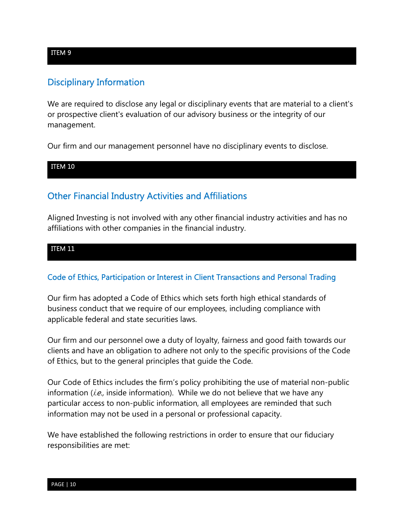# Disciplinary Information

We are required to disclose any legal or disciplinary events that are material to a client's or prospective client's evaluation of our advisory business or the integrity of our management.

Our firm and our management personnel have no disciplinary events to disclose.

#### ITEM 10

# Other Financial Industry Activities and Affiliations

Aligned Investing is not involved with any other financial industry activities and has no affiliations with other companies in the financial industry.

#### ITEM 11

## Code of Ethics, Participation or Interest in Client Transactions and Personal Trading

Our firm has adopted a Code of Ethics which sets forth high ethical standards of business conduct that we require of our employees, including compliance with applicable federal and state securities laws.

Our firm and our personnel owe a duty of loyalty, fairness and good faith towards our clients and have an obligation to adhere not only to the specific provisions of the Code of Ethics, but to the general principles that guide the Code.

Our Code of Ethics includes the firm's policy prohibiting the use of material non-public information (*i.e.*, inside information). While we do not believe that we have any particular access to non-public information, all employees are reminded that such information may not be used in a personal or professional capacity.

We have established the following restrictions in order to ensure that our fiduciary responsibilities are met:

#### ITEM 9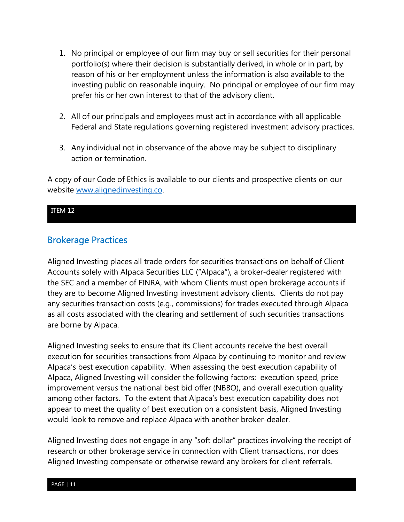- 1. No principal or employee of our firm may buy or sell securities for their personal portfolio(s) where their decision is substantially derived, in whole or in part, by reason of his or her employment unless the information is also available to the investing public on reasonable inquiry. No principal or employee of our firm may prefer his or her own interest to that of the advisory client.
- 2. All of our principals and employees must act in accordance with all applicable Federal and State regulations governing registered investment advisory practices.
- 3. Any individual not in observance of the above may be subject to disciplinary action or termination.

A copy of our Code of Ethics is available to our clients and prospective clients on our website www.alignedinvesting.co.

#### ITEM 12

## Brokerage Practices

Aligned Investing places all trade orders for securities transactions on behalf of Client Accounts solely with Alpaca Securities LLC ("Alpaca"), a broker-dealer registered with the SEC and a member of FINRA, with whom Clients must open brokerage accounts if they are to become Aligned Investing investment advisory clients. Clients do not pay any securities transaction costs (e.g., commissions) for trades executed through Alpaca as all costs associated with the clearing and settlement of such securities transactions are borne by Alpaca.

Aligned Investing seeks to ensure that its Client accounts receive the best overall execution for securities transactions from Alpaca by continuing to monitor and review Alpaca's best execution capability. When assessing the best execution capability of Alpaca, Aligned Investing will consider the following factors: execution speed, price improvement versus the national best bid offer (NBBO), and overall execution quality among other factors. To the extent that Alpaca's best execution capability does not appear to meet the quality of best execution on a consistent basis, Aligned Investing would look to remove and replace Alpaca with another broker-dealer.

Aligned Investing does not engage in any "soft dollar" practices involving the receipt of research or other brokerage service in connection with Client transactions, nor does Aligned Investing compensate or otherwise reward any brokers for client referrals.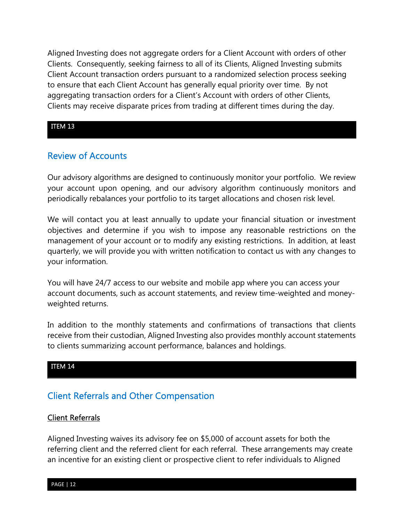Aligned Investing does not aggregate orders for a Client Account with orders of other Clients. Consequently, seeking fairness to all of its Clients, Aligned Investing submits Client Account transaction orders pursuant to a randomized selection process seeking to ensure that each Client Account has generally equal priority over time. By not aggregating transaction orders for a Client's Account with orders of other Clients, Clients may receive disparate prices from trading at different times during the day.

#### ITEM 13

## Review of Accounts

Our advisory algorithms are designed to continuously monitor your portfolio. We review your account upon opening, and our advisory algorithm continuously monitors and periodically rebalances your portfolio to its target allocations and chosen risk level.

We will contact you at least annually to update your financial situation or investment objectives and determine if you wish to impose any reasonable restrictions on the management of your account or to modify any existing restrictions. In addition, at least quarterly, we will provide you with written notification to contact us with any changes to your information.

You will have 24/7 access to our website and mobile app where you can access your account documents, such as account statements, and review time-weighted and moneyweighted returns.

In addition to the monthly statements and confirmations of transactions that clients receive from their custodian, Aligned Investing also provides monthly account statements to clients summarizing account performance, balances and holdings.

#### ITEM 14

## Client Referrals and Other Compensation

#### Client Referrals

Aligned Investing waives its advisory fee on \$5,000 of account assets for both the referring client and the referred client for each referral. These arrangements may create an incentive for an existing client or prospective client to refer individuals to Aligned

PAGE | 12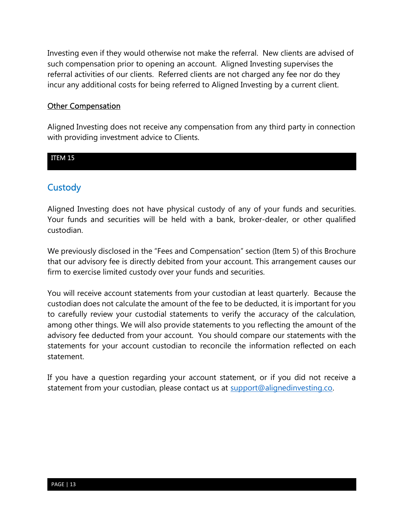Investing even if they would otherwise not make the referral. New clients are advised of such compensation prior to opening an account. Aligned Investing supervises the referral activities of our clients. Referred clients are not charged any fee nor do they incur any additional costs for being referred to Aligned Investing by a current client.

#### **Other Compensation**

Aligned Investing does not receive any compensation from any third party in connection with providing investment advice to Clients.

#### ITEM 15

## **Custody**

Aligned Investing does not have physical custody of any of your funds and securities. Your funds and securities will be held with a bank, broker-dealer, or other qualified custodian.

We previously disclosed in the "Fees and Compensation" section (Item 5) of this Brochure that our advisory fee is directly debited from your account. This arrangement causes our firm to exercise limited custody over your funds and securities.

You will receive account statements from your custodian at least quarterly. Because the custodian does not calculate the amount of the fee to be deducted, it is important for you to carefully review your custodial statements to verify the accuracy of the calculation, among other things. We will also provide statements to you reflecting the amount of the advisory fee deducted from your account. You should compare our statements with the statements for your account custodian to reconcile the information reflected on each statement.

If you have a question regarding your account statement, or if you did not receive a statement from your custodian, please contact us at support@alignedinvesting.co.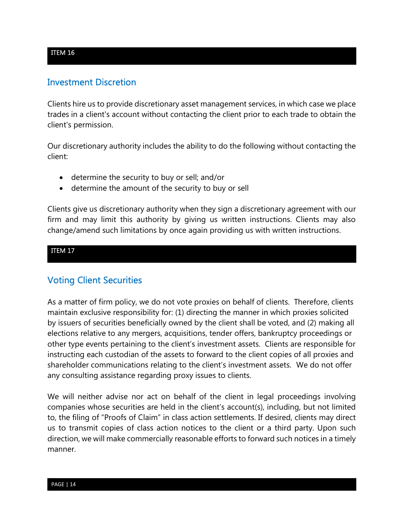## Investment Discretion

Clients hire us to provide discretionary asset management services, in which case we place trades in a client's account without contacting the client prior to each trade to obtain the client's permission.

Our discretionary authority includes the ability to do the following without contacting the client:

- determine the security to buy or sell; and/or
- determine the amount of the security to buy or sell

Clients give us discretionary authority when they sign a discretionary agreement with our firm and may limit this authority by giving us written instructions. Clients may also change/amend such limitations by once again providing us with written instructions.

## ITEM 17

## Voting Client Securities

As a matter of firm policy, we do not vote proxies on behalf of clients. Therefore, clients maintain exclusive responsibility for: (1) directing the manner in which proxies solicited by issuers of securities beneficially owned by the client shall be voted, and (2) making all elections relative to any mergers, acquisitions, tender offers, bankruptcy proceedings or other type events pertaining to the client's investment assets. Clients are responsible for instructing each custodian of the assets to forward to the client copies of all proxies and shareholder communications relating to the client's investment assets. We do not offer any consulting assistance regarding proxy issues to clients.

We will neither advise nor act on behalf of the client in legal proceedings involving companies whose securities are held in the client's account(s), including, but not limited to, the filing of "Proofs of Claim" in class action settlements. If desired, clients may direct us to transmit copies of class action notices to the client or a third party. Upon such direction, we will make commercially reasonable efforts to forward such notices in a timely manner.